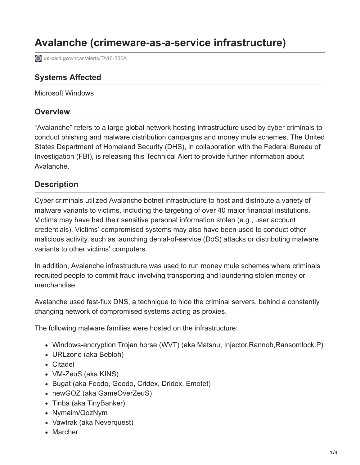# **Avalanche (crimeware-as-a-service infrastructure)**

**us-cert.gov[/ncas/alerts/TA16-336A](https://www.us-cert.gov/ncas/alerts/TA16-336A)** 

### **Systems Affected**

Microsoft Windows

#### **Overview**

"Avalanche" refers to a large global network hosting infrastructure used by cyber criminals to conduct phishing and malware distribution campaigns and money mule schemes. The United States Department of Homeland Security (DHS), in collaboration with the Federal Bureau of Investigation (FBI), is releasing this Technical Alert to provide further information about Avalanche.

#### **Description**

Cyber criminals utilized Avalanche botnet infrastructure to host and distribute a variety of malware variants to victims, including the targeting of over 40 major financial institutions. Victims may have had their sensitive personal information stolen (e.g., user account credentials). Victims' compromised systems may also have been used to conduct other malicious activity, such as launching denial-of-service (DoS) attacks or distributing malware variants to other victims' computers.

In addition, Avalanche infrastructure was used to run money mule schemes where criminals recruited people to commit fraud involving transporting and laundering stolen money or merchandise.

Avalanche used fast-flux DNS, a technique to hide the criminal servers, behind a constantly changing network of compromised systems acting as proxies.

The following malware families were hosted on the infrastructure:

- Windows-encryption Trojan horse (WVT) (aka Matsnu, Injector,Rannoh,Ransomlock.P)
- URLzone (aka Bebloh)
- Citadel
- VM-ZeuS (aka KINS)
- Bugat (aka Feodo, Geodo, Cridex, Dridex, Emotet)
- newGOZ (aka GameOverZeuS)
- Tinba (aka TinyBanker)
- Nymaim/GozNym
- Vawtrak (aka Neverquest)
- Marcher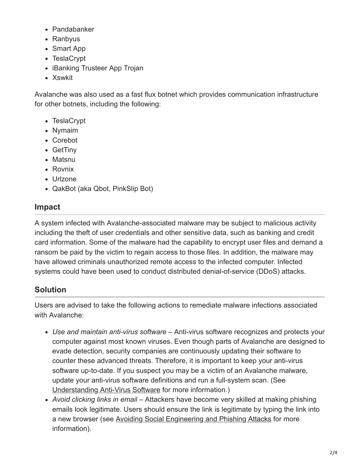- Pandabanker
- Ranbyus
- Smart App
- TeslaCrypt
- iBanking Trusteer App Trojan
- Xswkit

Avalanche was also used as a fast flux botnet which provides communication infrastructure for other botnets, including the following:

- TeslaCrypt
- Nymaim
- Corebot
- GetTiny
- Matsnu
- Rovnix
- Urlzone
- QakBot (aka Qbot, PinkSlip Bot)

# **Impact**

A system infected with Avalanche-associated malware may be subject to malicious activity including the theft of user credentials and other sensitive data, such as banking and credit card information. Some of the malware had the capability to encrypt user files and demand a ransom be paid by the victim to regain access to those files. In addition, the malware may have allowed criminals unauthorized remote access to the infected computer. Infected systems could have been used to conduct distributed denial-of-service (DDoS) attacks.

# **Solution**

Users are advised to take the following actions to remediate malware infections associated with Avalanche:

- *Use and maintain anti-virus software* Anti-virus software recognizes and protects your computer against most known viruses. Even though parts of Avalanche are designed to evade detection, security companies are continuously updating their software to counter these advanced threats. Therefore, it is important to keep your anti-virus software up-to-date. If you suspect you may be a victim of an Avalanche malware, update your anti-virus software definitions and run a full-system scan. (See [Understanding Anti-Virus Software](https://www.us-cert.gov/ncas/tips/ST04-005) for more information.)
- *Avoid clicking links in email* Attackers have become very skilled at making phishing emails look legitimate. Users should ensure the link is legitimate by typing the link into a new browser (see [Avoiding Social Engineering and Phishing Attacks](https://www.us-cert.gov/ncas/tips/ST04-014) for more information).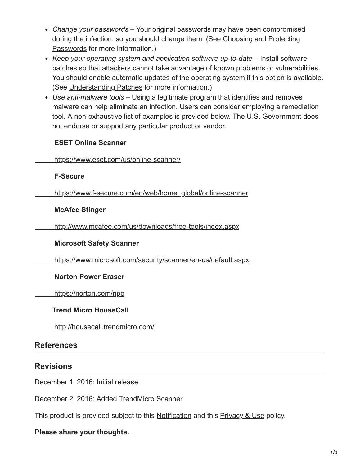- *Change your passwords –* Your original passwords may have been compromised [during the infection, so you should change them. \(See Choosing and Protecting](https://www.us-cert.gov/ncas/tips/ST04-002) Passwords for more information.)
- *Keep your operating system and application software up-to-date –* Install software patches so that attackers cannot take advantage of known problems or vulnerabilities. You should enable automatic updates of the operating system if this option is available. (See [Understanding Patches](https://www.us-cert.gov/ncas/tips/ST04-006) for more information.)
- *Use anti-malware tools –* Using a legitimate program that identifies and removes malware can help eliminate an infection. Users can consider employing a remediation tool. A non-exhaustive list of examples is provided below. The U.S. Government does not endorse or support any particular product or vendor.

#### **ESET Online Scanner**

<https://www.eset.com/us/online-scanner/>

#### **F-Secure**

 [https://www.f-secure.com/en/web/home\\_global/online-scanner](https://www.f-secure.com/en/web/home_global/online-scanner)

#### **McAfee Stinger**

<http://www.mcafee.com/us/downloads/free-tools/index.aspx>

#### **Microsoft Safety Scanner**

<https://www.microsoft.com/security/scanner/en-us/default.aspx>

#### **Norton Power Eraser**

<https://norton.com/npe>

#### **Trend Micro HouseCall**

<http://housecall.trendmicro.com/>

## **References**

#### **Revisions**

December 1, 2016: Initial release

December 2, 2016: Added TrendMicro Scanner

This product is provided subject to this [Notification](https://www.us-cert.gov/privacy/notification) and this [Privacy & Use](https://www.dhs.gov/privacy-policy) policy.

#### **Please share your thoughts.**